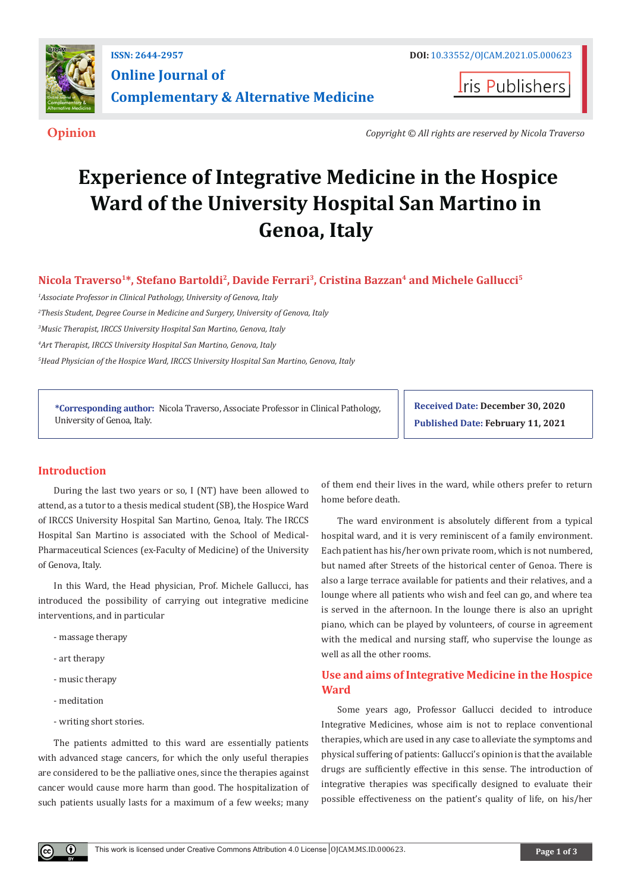

**Iris Publishers** 

**Opinion** *Copyright © All rights are reserved by Nicola Traverso*

# **Experience of Integrative Medicine in the Hospice Ward of the University Hospital San Martino in Genoa, Italy**

Nicola Traverso<sup>1\*</sup>, Stefano Bartoldi<sup>2</sup>, Davide Ferrari<sup>3</sup>, Cristina Bazzan<sup>4</sup> and Michele Gallucci<sup>5</sup>

 *Associate Professor in Clinical Pathology, University of Genova, Italy Thesis Student, Degree Course in Medicine and Surgery, University of Genova, Italy Music Therapist, IRCCS University Hospital San Martino, Genova, Italy Art Therapist, IRCCS University Hospital San Martino, Genova, Italy Head Physician of the Hospice Ward, IRCCS University Hospital San Martino, Genova, Italy*

**\*Corresponding author:** Nicola Traverso, Associate Professor in Clinical Pathology, University of Genoa, Italy.

**Received Date: December 30, 2020 Published Date: February 11, 2021**

### **Introduction**

During the last two years or so, I (NT) have been allowed to attend, as a tutor to a thesis medical student (SB), the Hospice Ward of IRCCS University Hospital San Martino, Genoa, Italy. The IRCCS Hospital San Martino is associated with the School of Medical-Pharmaceutical Sciences (ex-Faculty of Medicine) of the University of Genova, Italy.

In this Ward, the Head physician, Prof. Michele Gallucci, has introduced the possibility of carrying out integrative medicine interventions, and in particular

- massage therapy
- art therapy
- music therapy
- meditation
- writing short stories.

The patients admitted to this ward are essentially patients with advanced stage cancers, for which the only useful therapies are considered to be the palliative ones, since the therapies against cancer would cause more harm than good. The hospitalization of such patients usually lasts for a maximum of a few weeks; many

of them end their lives in the ward, while others prefer to return home before death.

The ward environment is absolutely different from a typical hospital ward, and it is very reminiscent of a family environment. Each patient has his/her own private room, which is not numbered, but named after Streets of the historical center of Genoa. There is also a large terrace available for patients and their relatives, and a lounge where all patients who wish and feel can go, and where tea is served in the afternoon. In the lounge there is also an upright piano, which can be played by volunteers, of course in agreement with the medical and nursing staff, who supervise the lounge as well as all the other rooms.

# **Use and aims of Integrative Medicine in the Hospice Ward**

Some years ago, Professor Gallucci decided to introduce Integrative Medicines, whose aim is not to replace conventional therapies, which are used in any case to alleviate the symptoms and physical suffering of patients: Gallucci's opinion is that the available drugs are sufficiently effective in this sense. The introduction of integrative therapies was specifically designed to evaluate their possible effectiveness on the patient's quality of life, on his/her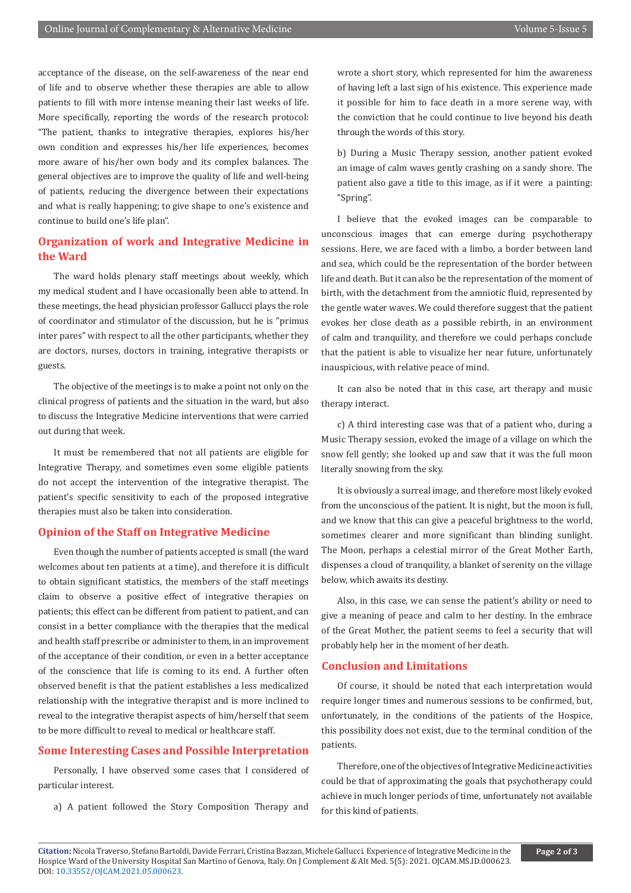acceptance of the disease, on the self-awareness of the near end of life and to observe whether these therapies are able to allow patients to fill with more intense meaning their last weeks of life. More specifically, reporting the words of the research protocol: "The patient, thanks to integrative therapies, explores his/her own condition and expresses his/her life experiences, becomes more aware of his/her own body and its complex balances. The general objectives are to improve the quality of life and well-being of patients, reducing the divergence between their expectations and what is really happening; to give shape to one's existence and continue to build one's life plan".

## **Organization of work and Integrative Medicine in the Ward**

The ward holds plenary staff meetings about weekly, which my medical student and I have occasionally been able to attend. In these meetings, the head physician professor Gallucci plays the role of coordinator and stimulator of the discussion, but he is "primus inter pares" with respect to all the other participants, whether they are doctors, nurses, doctors in training, integrative therapists or guests.

The objective of the meetings is to make a point not only on the clinical progress of patients and the situation in the ward, but also to discuss the Integrative Medicine interventions that were carried out during that week.

It must be remembered that not all patients are eligible for Integrative Therapy, and sometimes even some eligible patients do not accept the intervention of the integrative therapist. The patient's specific sensitivity to each of the proposed integrative therapies must also be taken into consideration.

#### **Opinion of the Staff on Integrative Medicine**

Even though the number of patients accepted is small (the ward welcomes about ten patients at a time), and therefore it is difficult to obtain significant statistics, the members of the staff meetings claim to observe a positive effect of integrative therapies on patients; this effect can be different from patient to patient, and can consist in a better compliance with the therapies that the medical and health staff prescribe or administer to them, in an improvement of the acceptance of their condition, or even in a better acceptance of the conscience that life is coming to its end. A further often observed benefit is that the patient establishes a less medicalized relationship with the integrative therapist and is more inclined to reveal to the integrative therapist aspects of him/herself that seem to be more difficult to reveal to medical or healthcare staff.

#### **Some Interesting Cases and Possible Interpretation**

Personally, I have observed some cases that I considered of particular interest.

a) A patient followed the Story Composition Therapy and

wrote a short story, which represented for him the awareness of having left a last sign of his existence. This experience made it possible for him to face death in a more serene way, with the conviction that he could continue to live beyond his death through the words of this story.

b) During a Music Therapy session, another patient evoked an image of calm waves gently crashing on a sandy shore. The patient also gave a title to this image, as if it were a painting: "Spring".

I believe that the evoked images can be comparable to unconscious images that can emerge during psychotherapy sessions. Here, we are faced with a limbo, a border between land and sea, which could be the representation of the border between life and death. But it can also be the representation of the moment of birth, with the detachment from the amniotic fluid, represented by the gentle water waves. We could therefore suggest that the patient evokes her close death as a possible rebirth, in an environment of calm and tranquility, and therefore we could perhaps conclude that the patient is able to visualize her near future, unfortunately inauspicious, with relative peace of mind.

It can also be noted that in this case, art therapy and music therapy interact.

c) A third interesting case was that of a patient who, during a Music Therapy session, evoked the image of a village on which the snow fell gently; she looked up and saw that it was the full moon literally snowing from the sky.

It is obviously a surreal image, and therefore most likely evoked from the unconscious of the patient. It is night, but the moon is full, and we know that this can give a peaceful brightness to the world, sometimes clearer and more significant than blinding sunlight. The Moon, perhaps a celestial mirror of the Great Mother Earth, dispenses a cloud of tranquility, a blanket of serenity on the village below, which awaits its destiny.

Also, in this case, we can sense the patient's ability or need to give a meaning of peace and calm to her destiny. In the embrace of the Great Mother, the patient seems to feel a security that will probably help her in the moment of her death.

#### **Conclusion and Limitations**

Of course, it should be noted that each interpretation would require longer times and numerous sessions to be confirmed, but, unfortunately, in the conditions of the patients of the Hospice, this possibility does not exist, due to the terminal condition of the patients.

Therefore, one of the objectives of Integrative Medicine activities could be that of approximating the goals that psychotherapy could achieve in much longer periods of time, unfortunately not available for this kind of patients.